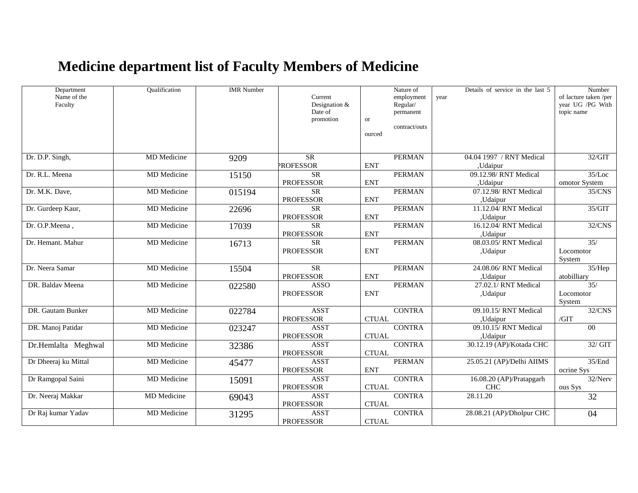## **Medicine department list of Faculty Members of Medicine**

| Department<br>Name of the<br>Faculty | Oualification      | <b>IMR</b> Number | Current<br>Designation &        |              | Nature of<br>employment<br>Regular/ | year | Details of service in the last 5  | Number<br>of lacture taken /per<br>year UG /PG With |
|--------------------------------------|--------------------|-------------------|---------------------------------|--------------|-------------------------------------|------|-----------------------------------|-----------------------------------------------------|
|                                      |                    |                   | Date of                         |              | permanent                           |      |                                   | topic name                                          |
|                                      |                    |                   | promotion                       | <b>or</b>    | contract/outs                       |      |                                   |                                                     |
|                                      |                    |                   |                                 | ourced       |                                     |      |                                   |                                                     |
|                                      |                    |                   |                                 |              |                                     |      |                                   |                                                     |
| Dr. D.P. Singh,                      | <b>MD</b> Medicine | 9209              | $\overline{\text{SR}}$          |              | <b>PERMAN</b>                       |      | 04.04 1997 / RNT Medical          | 32/GIT                                              |
|                                      |                    |                   | <b>PROFESSOR</b>                | <b>ENT</b>   |                                     |      | ,Udaipur                          |                                                     |
| Dr. R.L. Meena                       | MD Medicine        | 15150             | $\overline{\text{SR}}$          |              | <b>PERMAN</b>                       |      | 09.12.98/ RNT Medical             | 35/Loc                                              |
|                                      |                    |                   | <b>PROFESSOR</b>                | <b>ENT</b>   |                                     |      | ,Udaipur                          | omotor System                                       |
| Dr. M.K. Dave,                       | <b>MD</b> Medicine | 015194            | <b>SR</b>                       |              | <b>PERMAN</b>                       |      | 07.12.98/ RNT Medical             | 35/CNS                                              |
|                                      |                    |                   | <b>PROFESSOR</b>                | <b>ENT</b>   |                                     |      | ,Udaipur                          |                                                     |
| Dr. Gurdeep Kaur,                    | <b>MD</b> Medicine | 22696             | <b>SR</b>                       |              | <b>PERMAN</b>                       |      | 11.12.04/ RNT Medical             | 35/GIT                                              |
| Dr. O.P.Meena,                       | MD Medicine        |                   | <b>PROFESSOR</b><br>SR          | <b>ENT</b>   | <b>PERMAN</b>                       |      | ,Udaipur<br>16.12.04/ RNT Medical | 32/CNS                                              |
|                                      |                    | 17039             | <b>PROFESSOR</b>                | <b>ENT</b>   |                                     |      | ,Udaipur                          |                                                     |
| Dr. Hemant. Mahur                    | MD Medicine        | 16713             | <b>SR</b>                       |              | <b>PERMAN</b>                       |      | 08.03.05/RNT Medical              | 35/                                                 |
|                                      |                    |                   | <b>PROFESSOR</b>                | <b>ENT</b>   |                                     |      | ,Udaipur                          | Locomotor                                           |
|                                      |                    |                   |                                 |              |                                     |      |                                   | System                                              |
| Dr. Neera Samar                      | <b>MD</b> Medicine | 15504             | SR                              |              | <b>PERMAN</b>                       |      | 24.08.06/RNT Medical              | 35/Hep                                              |
|                                      |                    |                   | <b>PROFESSOR</b>                | <b>ENT</b>   |                                     |      | ,Udaipur                          | atobilliary                                         |
| DR. Baldav Meena                     | MD Medicine        | 022580            | <b>ASSO</b>                     |              | <b>PERMAN</b>                       |      | 27.02.1/RNT Medical               | 35/                                                 |
|                                      |                    |                   | <b>PROFESSOR</b>                | <b>ENT</b>   |                                     |      | ,Udaipur                          | Locomotor                                           |
|                                      |                    |                   |                                 |              |                                     |      |                                   | System                                              |
| DR. Gautam Bunker                    | <b>MD</b> Medicine | 022784            | <b>ASST</b>                     |              | <b>CONTRA</b>                       |      | 09.10.15/RNT Medical              | 32/CNS                                              |
| DR. Manoj Patidar                    | MD Medicine        |                   | <b>PROFESSOR</b><br><b>ASST</b> | <b>CTUAL</b> | <b>CONTRA</b>                       |      | ,Udaipur<br>09.10.15/RNT Medical  | /GIT<br>$\overline{00}$                             |
|                                      |                    | 023247            | <b>PROFESSOR</b>                | <b>CTUAL</b> |                                     |      | ,Udaipur                          |                                                     |
| Dr.Hemlalta Meghwal                  | MD Medicine        | 32386             | <b>ASST</b>                     |              | <b>CONTRA</b>                       |      | 30.12.19 (AP)/Kotada CHC          | 32/GIT                                              |
|                                      |                    |                   | <b>PROFESSOR</b>                | <b>CTUAL</b> |                                     |      |                                   |                                                     |
| Dr Dheeraj ku Mittal                 | MD Medicine        | 45477             | <b>ASST</b>                     |              | <b>PERMAN</b>                       |      | 25.05.21 (AP)/Delhi AIIMS         | 35/End                                              |
|                                      |                    |                   | <b>PROFESSOR</b>                | <b>ENT</b>   |                                     |      |                                   | ocrine Sys                                          |
| Dr Ramgopal Saini                    | MD Medicine        | 15091             | <b>ASST</b>                     |              | <b>CONTRA</b>                       |      | 16.08.20 (AP)/Pratapgarh          | 32/Nerv                                             |
|                                      |                    |                   | <b>PROFESSOR</b>                | <b>CTUAL</b> |                                     |      | CHC                               | ous Sys                                             |
| Dr. Neeraj Makkar                    | MD Medicine        | 69043             | <b>ASST</b>                     |              | <b>CONTRA</b>                       |      | 28.11.20                          | 32                                                  |
|                                      |                    |                   | <b>PROFESSOR</b>                | <b>CTUAL</b> |                                     |      |                                   |                                                     |
| Dr Raj kumar Yadav                   | <b>MD</b> Medicine | 31295             | <b>ASST</b><br><b>PROFESSOR</b> | <b>CTUAL</b> | <b>CONTRA</b>                       |      | 28.08.21 (AP)/Dholpur CHC         | 04                                                  |
|                                      |                    |                   |                                 |              |                                     |      |                                   |                                                     |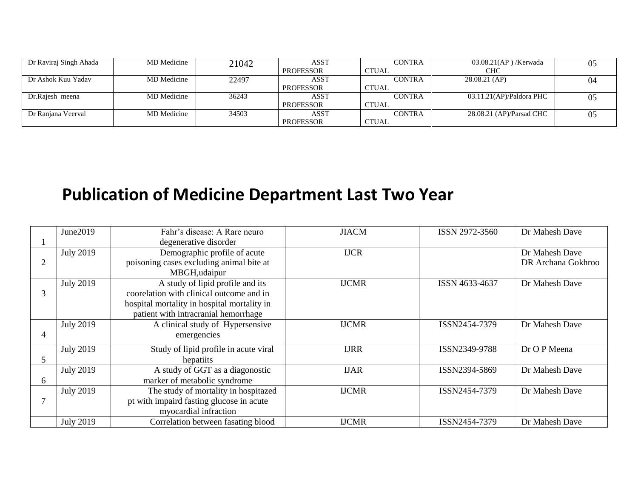| Dr Raviraj Singh Ahada | MD Medicine | 21042 | ASST             | <b>CONTRA</b> | $03.08.21$ (AP)/Kerwada  | 05 |
|------------------------|-------------|-------|------------------|---------------|--------------------------|----|
|                        |             |       | <b>PROFESSOR</b> | <b>CTUAL</b>  | CHC                      |    |
| Dr Ashok Kuu Yadav     | MD Medicine | 22497 | ASST             | <b>CONTRA</b> | 28.08.21 (AP)            | 04 |
|                        |             |       | <b>PROFESSOR</b> | CTUAL         |                          |    |
| Dr.Rajesh meena        | MD Medicine | 36243 | ASST             | <b>CONTRA</b> | 03.11.21(AP)/Paldora PHC | 05 |
|                        |             |       | <b>PROFESSOR</b> | <b>CTUAL</b>  |                          |    |
| Dr Ranjana Veerval     | MD Medicine | 34503 | ASST             | <b>CONTRA</b> | 28.08.21 (AP)/Parsad CHC | 05 |
|                        |             |       | <b>PROFESSOR</b> | <b>CTUAL</b>  |                          |    |

## **Publication of Medicine Department Last Two Year**

|   | June2019         | Fahr's disease: A Rare neuro                | <b>JIACM</b> | ISSN 2972-3560 | Dr Mahesh Dave     |
|---|------------------|---------------------------------------------|--------------|----------------|--------------------|
|   |                  | degenerative disorder                       |              |                |                    |
|   | <b>July 2019</b> | Demographic profile of acute                | <b>IJCR</b>  |                | Dr Mahesh Dave     |
| 2 |                  | poisoning cases excluding animal bite at    |              |                | DR Archana Gokhroo |
|   |                  | MBGH, udaipur                               |              |                |                    |
|   | <b>July 2019</b> | A study of lipid profile and its            | <b>IJCMR</b> | ISSN 4633-4637 | Dr Mahesh Dave     |
| 3 |                  | coorelation with clinical outcome and in    |              |                |                    |
|   |                  | hospital mortality in hospital mortality in |              |                |                    |
|   |                  | patient with intracranial hemorrhage        |              |                |                    |
|   | <b>July 2019</b> | A clinical study of Hypersensive            | <b>IJCMR</b> | ISSN2454-7379  | Dr Mahesh Dave     |
| 4 |                  | emergencies                                 |              |                |                    |
|   | <b>July 2019</b> | Study of lipid profile in acute viral       | <b>IJRR</b>  | ISSN2349-9788  | Dr O P Meena       |
| 5 |                  | hepatiits                                   |              |                |                    |
|   | <b>July 2019</b> | A study of GGT as a diagonostic             | <b>IJAR</b>  | ISSN2394-5869  | Dr Mahesh Dave     |
| 6 |                  | marker of metabolic syndrome                |              |                |                    |
|   | <b>July 2019</b> | The study of mortality in hospitazed        | <b>IJCMR</b> | ISSN2454-7379  | Dr Mahesh Dave     |
|   |                  | pt with impaird fasting glucose in acute    |              |                |                    |
|   |                  | myocardial infraction                       |              |                |                    |
|   | <b>July 2019</b> | Correlation between fasating blood          | <b>IJCMR</b> | ISSN2454-7379  | Dr Mahesh Dave     |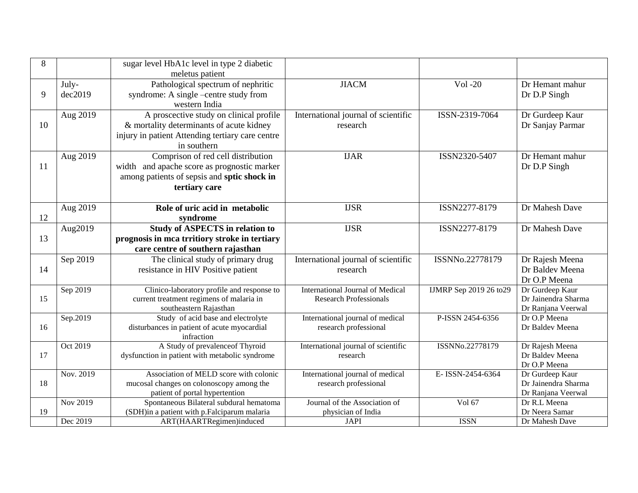| 8  |                 | sugar level HbA1c level in type 2 diabetic                   |                                         |                         |                                    |
|----|-----------------|--------------------------------------------------------------|-----------------------------------------|-------------------------|------------------------------------|
|    |                 | meletus patient                                              |                                         |                         |                                    |
|    | July-           | Pathological spectrum of nephritic                           | <b>JIACM</b>                            | Vol -20                 | Dr Hemant mahur                    |
| 9  | dec2019         | syndrome: A single –centre study from                        |                                         |                         | Dr D.P Singh                       |
|    |                 | western India                                                |                                         |                         |                                    |
|    | Aug 2019        | A proscective study on clinical profile                      | International journal of scientific     | ISSN-2319-7064          | Dr Gurdeep Kaur                    |
| 10 |                 | & mortality determinants of acute kidney                     | research                                |                         | Dr Sanjay Parmar                   |
|    |                 | injury in patient Attending tertiary care centre             |                                         |                         |                                    |
|    |                 | in southern                                                  |                                         |                         |                                    |
|    | Aug 2019        | Comprison of red cell distribution                           | <b>IJAR</b>                             | ISSN2320-5407           | Dr Hemant mahur                    |
| 11 |                 | width and apache score as prognostic marker                  |                                         |                         | Dr D.P Singh                       |
|    |                 | among patients of sepsis and sptic shock in                  |                                         |                         |                                    |
|    |                 | tertiary care                                                |                                         |                         |                                    |
|    |                 |                                                              |                                         |                         |                                    |
|    | Aug 2019        | Role of uric acid in metabolic                               | <b>IJSR</b>                             | ISSN2277-8179           | Dr Mahesh Dave                     |
| 12 |                 | syndrome                                                     |                                         |                         |                                    |
|    | Aug2019         | <b>Study of ASPECTS in relation to</b>                       | <b>IJSR</b>                             | ISSN2277-8179           | Dr Mahesh Dave                     |
| 13 |                 | prognosis in mca trritiory stroke in tertiary                |                                         |                         |                                    |
|    |                 | care centre of southern rajasthan                            |                                         |                         |                                    |
|    | Sep 2019        | The clinical study of primary drug                           | International journal of scientific     | ISSNNo.22778179         | Dr Rajesh Meena                    |
| 14 |                 | resistance in HIV Positive patient                           | research                                |                         | Dr Baldev Meena                    |
|    |                 |                                                              |                                         |                         | Dr O.P Meena                       |
|    | Sep 2019        | Clinico-laboratory profile and response to                   | <b>International Journal of Medical</b> | IJMRP Sep 2019 26 to 29 | Dr Gurdeep Kaur                    |
| 15 |                 | current treatment regimens of malaria in                     | <b>Research Professionals</b>           |                         | Dr Jainendra Sharma                |
|    | Sep.2019        | southeastern Rajasthan<br>Study of acid base and electrolyte | International journal of medical        | P-ISSN 2454-6356        | Dr Ranjana Veerwal<br>Dr O.P Meena |
| 16 |                 | disturbances in patient of acute myocardial                  | research professional                   |                         | Dr Baldev Meena                    |
|    |                 | infraction                                                   |                                         |                         |                                    |
|    | Oct 2019        | A Study of prevalence of Thyroid                             | International journal of scientific     | ISSNNo.22778179         | Dr Rajesh Meena                    |
| 17 |                 | dysfunction in patient with metabolic syndrome               | research                                |                         | Dr Baldev Meena                    |
|    |                 |                                                              |                                         |                         | Dr O.P Meena                       |
|    | Nov. 2019       | Association of MELD score with colonic                       | International journal of medical        | E-ISSN-2454-6364        | Dr Gurdeep Kaur                    |
| 18 |                 | mucosal changes on colonoscopy among the                     | research professional                   |                         | Dr Jainendra Sharma                |
|    |                 | patient of portal hypertention                               |                                         |                         | Dr Ranjana Veerwal                 |
|    | <b>Nov 2019</b> | Spontaneous Bilateral subdural hematoma                      | Journal of the Association of           | Vol 67                  | Dr R.L Meena                       |
| 19 |                 | (SDH)in a patient with p.Falciparum malaria                  | physician of India                      | <b>ISSN</b>             | Dr Neera Samar                     |
|    | Dec 2019        | ART(HAARTRegimen)induced                                     | <b>JAPI</b>                             |                         | Dr Mahesh Dave                     |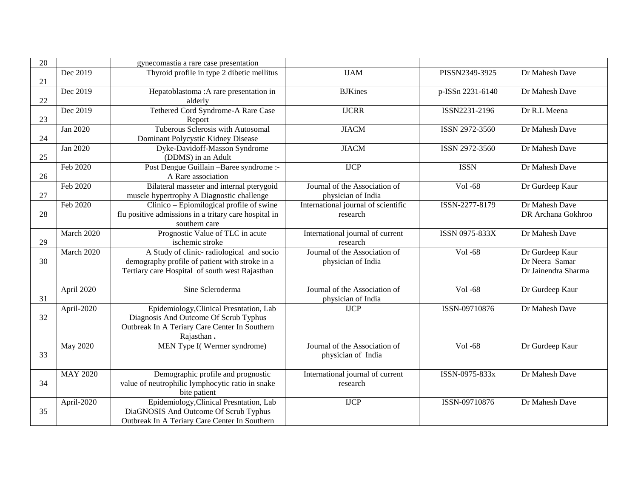| $\overline{20}$ |                 | gynecomastia a rare case presentation                                                                                                           |                                                     |                  |                                                          |
|-----------------|-----------------|-------------------------------------------------------------------------------------------------------------------------------------------------|-----------------------------------------------------|------------------|----------------------------------------------------------|
| 21              | Dec 2019        | Thyroid profile in type 2 dibetic mellitus                                                                                                      | <b>IJAM</b>                                         | PISSN2349-3925   | Dr Mahesh Dave                                           |
| 22              | Dec 2019        | Hepatoblastoma : A rare presentation in<br>alderly                                                                                              | <b>BJKines</b>                                      | p-ISSn 2231-6140 | Dr Mahesh Dave                                           |
| 23              | Dec 2019        | Tethered Cord Syndrome-A Rare Case<br>Report                                                                                                    | <b>IJCRR</b>                                        | ISSN2231-2196    | Dr R.L Meena                                             |
| 24              | Jan 2020        | Tuberous Sclerosis with Autosomal<br>Dominant Polycystic Kidney Disease                                                                         | <b>JIACM</b>                                        | ISSN 2972-3560   | Dr Mahesh Dave                                           |
| 25              | Jan 2020        | Dyke-Davidoff-Masson Syndrome<br>(DDMS) in an Adult                                                                                             | <b>JIACM</b>                                        | ISSN 2972-3560   | Dr Mahesh Dave                                           |
| 26              | Feb 2020        | Post Dengue Guillain - Baree syndrome :-<br>A Rare association                                                                                  | <b>IJCP</b>                                         | <b>ISSN</b>      | Dr Mahesh Dave                                           |
| 27              | Feb 2020        | Bilateral masseter and internal pterygoid<br>muscle hypertrophy A Diagnostic challenge                                                          | Journal of the Association of<br>physician of India | Vol -68          | Dr Gurdeep Kaur                                          |
| 28              | Feb 2020        | Clinico – Epiomilogical profile of swine<br>flu positive admissions in a tritary care hospital in<br>southern care                              | International journal of scientific<br>research     | ISSN-2277-8179   | Dr Mahesh Dave<br>DR Archana Gokhroo                     |
| 29              | March 2020      | Prognostic Value of TLC in acute<br>ischemic stroke                                                                                             | International journal of current<br>research        | ISSN 0975-833X   | Dr Mahesh Dave                                           |
| 30              | March 2020      | A Study of clinic-radiological and socio<br>-demography profile of patient with stroke in a<br>Tertiary care Hospital of south west Rajasthan   | Journal of the Association of<br>physician of India | Vol -68          | Dr Gurdeep Kaur<br>Dr Neera Samar<br>Dr Jainendra Sharma |
| 31              | April 2020      | Sine Scleroderma                                                                                                                                | Journal of the Association of<br>physician of India | Vol -68          | Dr Gurdeep Kaur                                          |
| 32              | April-2020      | Epidemiology, Clinical Presntation, Lab<br>Diagnosis And Outcome Of Scrub Typhus<br>Outbreak In A Teriary Care Center In Southern<br>Rajasthan. | <b>IJCP</b>                                         | ISSN-09710876    | Dr Mahesh Dave                                           |
| 33              | May 2020        | MEN Type I(Wermer syndrome)                                                                                                                     | Journal of the Association of<br>physician of India | Vol -68          | Dr Gurdeep Kaur                                          |
| 34              | <b>MAY 2020</b> | Demographic profile and prognostic<br>value of neutrophilic lymphocytic ratio in snake<br>bite patient                                          | International journal of current<br>research        | ISSN-0975-833x   | Dr Mahesh Dave                                           |
| 35              | April-2020      | Epidemiology, Clinical Presntation, Lab<br>DiaGNOSIS And Outcome Of Scrub Typhus<br>Outbreak In A Teriary Care Center In Southern               | <b>IJCP</b>                                         | ISSN-09710876    | Dr Mahesh Dave                                           |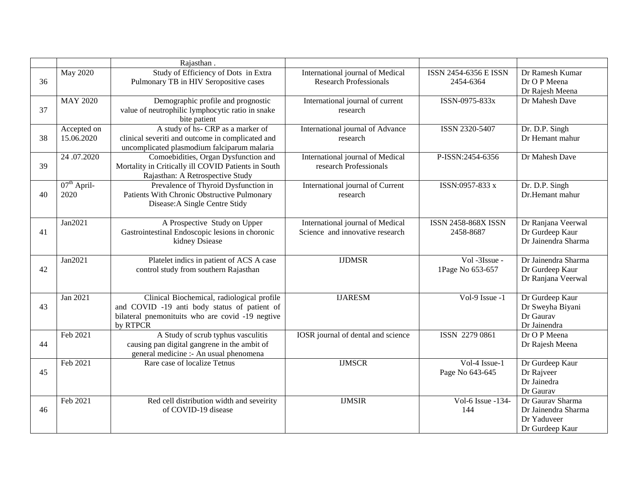|    |                           | Rajasthan.                                                                                                                                                 |                                                                     |                                    |                                                                           |
|----|---------------------------|------------------------------------------------------------------------------------------------------------------------------------------------------------|---------------------------------------------------------------------|------------------------------------|---------------------------------------------------------------------------|
| 36 | <b>May 2020</b>           | Study of Efficiency of Dots in Extra<br>Pulmonary TB in HIV Seropositive cases                                                                             | International journal of Medical<br><b>Research Professionals</b>   | ISSN 2454-6356 E ISSN<br>2454-6364 | Dr Ramesh Kumar<br>Dr O P Meena<br>Dr Rajesh Meena                        |
| 37 | <b>MAY 2020</b>           | Demographic profile and prognostic<br>value of neutrophilic lymphocytic ratio in snake<br>bite patient                                                     | International journal of current<br>research                        | ISSN-0975-833x                     | Dr Mahesh Dave                                                            |
| 38 | Accepted on<br>15.06.2020 | A study of hs- CRP as a marker of<br>clinical severiti and outcome in complicated and<br>uncomplicated plasmodium falciparum malaria                       | International journal of Advance<br>research                        | ISSN 2320-5407                     | Dr. D.P. Singh<br>Dr Hemant mahur                                         |
| 39 | 24.07.2020                | Comoebidities, Organ Dysfunction and<br>Mortality in Critically ill COVID Patients in South<br>Rajasthan: A Retrospective Study                            | International journal of Medical<br>research Professionals          | P-ISSN:2454-6356                   | Dr Mahesh Dave                                                            |
| 40 | $07th$ April-<br>2020     | Prevalence of Thyroid Dysfunction in<br>Patients With Chronic Obstructive Pulmonary<br>Disease: A Single Centre Stidy                                      | International journal of Current<br>research                        | ISSN:0957-833 x                    | Dr. D.P. Singh<br>Dr.Hemant mahur                                         |
| 41 | Jan2021                   | A Prospective Study on Upper<br>Gastrointestinal Endoscopic lesions in choronic<br>kidney Dsiease                                                          | International journal of Medical<br>Science and innovative research | ISSN 2458-868X ISSN<br>2458-8687   | Dr Ranjana Veerwal<br>Dr Gurdeep Kaur<br>Dr Jainendra Sharma              |
| 42 | Jan2021                   | Platelet indics in patient of ACS A case<br>control study from southern Rajasthan                                                                          | <b>IJDMSR</b>                                                       | Vol -3Issue -<br>1Page No 653-657  | Dr Jainendra Sharma<br>Dr Gurdeep Kaur<br>Dr Ranjana Veerwal              |
| 43 | Jan 2021                  | Clinical Biochemical, radiological profile<br>and COVID -19 anti body status of patient of<br>bilateral pnemonituits who are covid -19 negtive<br>by RTPCR | <b>IJARESM</b>                                                      | Vol-9 Issue -1                     | Dr Gurdeep Kaur<br>Dr Sweyha Biyani<br>Dr Gaurav<br>Dr Jainendra          |
| 44 | Feb 2021                  | A Study of scrub typhus vasculitis<br>causing pan digital gangrene in the ambit of<br>general medicine :- An usual phenomena                               | IOSR journal of dental and science                                  | ISSN 2279 0861                     | Dr O P Meena<br>Dr Rajesh Meena                                           |
| 45 | Feb 2021                  | Rare case of localize Tetnus                                                                                                                               | <b>IJMSCR</b>                                                       | Vol-4 Issue-1<br>Page No 643-645   | Dr Gurdeep Kaur<br>Dr Rajveer<br>Dr Jainedra<br>Dr Gaurav                 |
| 46 | Feb 2021                  | Red cell distribution width and seveirity<br>of COVID-19 disease                                                                                           | <b>IJMSIR</b>                                                       | Vol-6 Issue -134-<br>144           | Dr Gaurav Sharma<br>Dr Jainendra Sharma<br>Dr Yaduveer<br>Dr Gurdeep Kaur |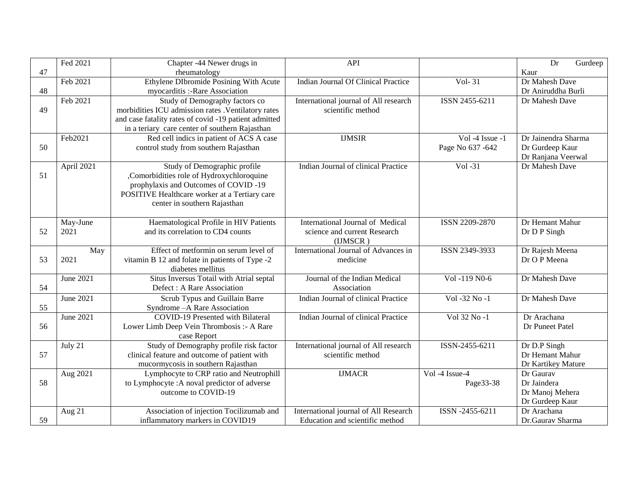|    | Fed 2021         | Chapter -44 Newer drugs in                            | <b>API</b>                            |                   | Dr<br>Gurdeep       |
|----|------------------|-------------------------------------------------------|---------------------------------------|-------------------|---------------------|
| 47 |                  | rheumatology                                          |                                       |                   | Kaur                |
|    | Feb 2021         | Ethylene DIbromide Posining With Acute                | Indian Journal Of Clinical Practice   | Vol-31            | Dr Mahesh Dave      |
| 48 |                  | myocarditis :- Rare Association                       |                                       |                   | Dr Aniruddha Burli  |
|    | Feb 2021         | Study of Demography factors co                        | International journal of All research | ISSN 2455-6211    | Dr Mahesh Dave      |
| 49 |                  | morbidities ICU admission rates . Ventilatory rates   | scientific method                     |                   |                     |
|    |                  | and case fatality rates of covid -19 patient admitted |                                       |                   |                     |
|    |                  | in a teriary care center of southern Rajasthan        |                                       |                   |                     |
|    | Feb2021          | Red cell indics in patient of ACS A case              | <b>IJMSIR</b>                         | Vol -4 Issue -1   | Dr Jainendra Sharma |
| 50 |                  | control study from southern Rajasthan                 |                                       | Page No 637 - 642 | Dr Gurdeep Kaur     |
|    |                  |                                                       |                                       |                   | Dr Ranjana Veerwal  |
|    | April 2021       | Study of Demographic profile                          | Indian Journal of clinical Practice   | $Vol -31$         | Dr Mahesh Dave      |
| 51 |                  | ,Comorbidities role of Hydroxychloroquine             |                                       |                   |                     |
|    |                  | prophylaxis and Outcomes of COVID-19                  |                                       |                   |                     |
|    |                  | POSITIVE Healthcare worker at a Tertiary care         |                                       |                   |                     |
|    |                  | center in southern Rajasthan                          |                                       |                   |                     |
|    | May-June         | Haematological Profile in HIV Patients                | International Journal of Medical      | ISSN 2209-2870    | Dr Hemant Mahur     |
| 52 | 2021             | and its correlation to CD4 counts                     | science and current Research          |                   | Dr D P Singh        |
|    |                  |                                                       | (IJMSCR)                              |                   |                     |
|    | May              | Effect of metformin on serum level of                 | International Journal of Advances in  | ISSN 2349-3933    | Dr Rajesh Meena     |
| 53 | 2021             | vitamin B 12 and folate in patients of Type -2        | medicine                              |                   | Dr O P Meena        |
|    |                  | diabetes mellitus                                     |                                       |                   |                     |
|    | June 2021        | Situs Inversus Totail with Atrial septal              | Journal of the Indian Medical         | Vol -119 N0-6     | Dr Mahesh Dave      |
| 54 |                  | Defect : A Rare Association                           | Association                           |                   |                     |
|    | <b>June 2021</b> | Scrub Typus and Guillain Barre                        | Indian Journal of clinical Practice   | Vol -32 No -1     | Dr Mahesh Dave      |
| 55 |                  | Syndrome - A Rare Association                         |                                       |                   |                     |
|    | <b>June 2021</b> | <b>COVID-19 Presented with Bilateral</b>              | Indian Journal of clinical Practice   | Vol 32 No -1      | Dr Arachana         |
| 56 |                  | Lower Limb Deep Vein Thrombosis :- A Rare             |                                       |                   | Dr Puneet Patel     |
|    |                  | case Report                                           |                                       |                   |                     |
|    | July 21          | Study of Demography profile risk factor               | International journal of All research | ISSN-2455-6211    | Dr D.P Singh        |
| 57 |                  | clinical feature and outcome of patient with          | scientific method                     |                   | Dr Hemant Mahur     |
|    |                  | mucormycosis in southern Rajasthan                    |                                       |                   | Dr Kartikey Mature  |
|    | Aug 2021         | Lymphocyte to CRP ratio and Neutrophill               | <b>IJMACR</b>                         | Vol -4 Issue-4    | Dr Gaurav           |
| 58 |                  | to Lymphocyte : A noval predictor of adverse          |                                       | Page33-38         | Dr Jaindera         |
|    |                  | outcome to COVID-19                                   |                                       |                   | Dr Manoj Mehera     |
|    |                  |                                                       |                                       |                   | Dr Gurdeep Kaur     |
|    | Aug 21           | Association of injection Tocilizumab and              | International journal of All Research | ISSN -2455-6211   | Dr Arachana         |
| 59 |                  | inflammatory markers in COVID19                       | Education and scientific method       |                   | Dr.Gaurav Sharma    |